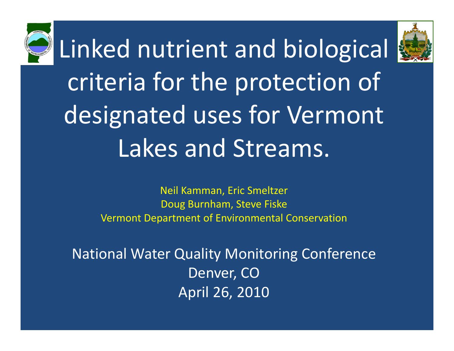Linked nutrient and biological criteria for the protection of designated uses for Vermont Lakes and Streams.

> Neil Kamman, Eric Smeltzer Doug Burnham, Steve Fiske Vermont Department of Environmental Conservation

National Water Quality Monitoring Conference Denver, CO April 26, 2010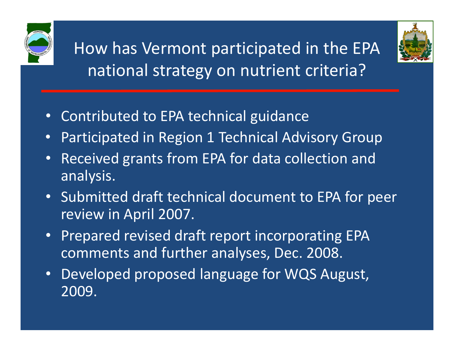

How has Vermont participated in the EPA national strategy on nutrient criteria?



- •Contributed to EPA technical guidance
- •Participated in Region 1 Technical Advisory Group
- •• Received grants from EPA for data collection and analysis.
- Submitted draft technical document to EPA for peer review in April 2007.
- •Prepared revised draft report incorporating EPA comments and further analyses, Dec. 2008.
- • Developed proposed language for WQS August, 2009.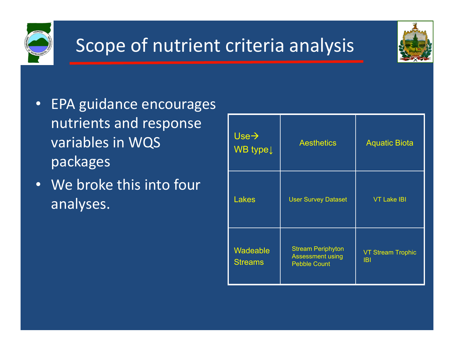

#### Scope of nutrient criteria analysis



- •**EPA guidance encourages**<br>nutrients and response nutrients and response  $variable$ s in WQS  $\left[\begin{array}{cc} \text{vse} \end{array}\right]_{\text{WB type}}$ packages
- • We broke this into four analyses.

| $Use \rightarrow$<br>WB type Į | <b>Aesthetics</b>                                                          | <b>Aquatic Biota</b>                   |  |  |
|--------------------------------|----------------------------------------------------------------------------|----------------------------------------|--|--|
| <b>Lakes</b>                   | <b>User Survey Dataset</b>                                                 | <b>VT Lake IBI</b>                     |  |  |
| Wadeable<br><b>Streams</b>     | <b>Stream Periphyton</b><br><b>Assessment using</b><br><b>Pebble Count</b> | <b>VT Stream Trophic</b><br><b>IBI</b> |  |  |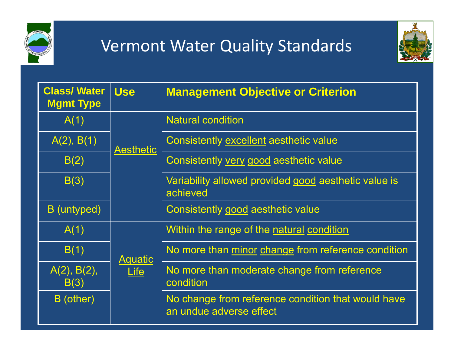

#### Vermont Water Quality Standards



| <b>Class/Water</b><br><b>Mgmt Type</b> | <b>Use</b>             | <b>Management Objective or Criterion</b>                                      |
|----------------------------------------|------------------------|-------------------------------------------------------------------------------|
| A(1)                                   |                        | <b>Natural condition</b>                                                      |
| A(2), B(1)                             | <b>Aesthetic</b>       | Consistently excellent aesthetic value                                        |
| B(2)                                   |                        | Consistently very good aesthetic value                                        |
| B(3)                                   |                        | Variability allowed provided good aesthetic value is<br>achieved              |
| B (untyped)                            |                        | Consistently good aesthetic value                                             |
| A(1)                                   |                        | Within the range of the natural condition                                     |
| B(1)                                   | <b>Aquatic</b><br>Life | No more than minor change from reference condition                            |
| A(2), B(2),<br>B(3)                    |                        | No more than moderate change from reference<br>condition                      |
| B (other)                              |                        | No change from reference condition that would have<br>an undue adverse effect |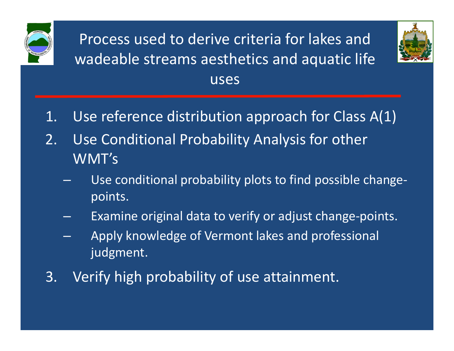

Process used to derive criteria for lakes and wadeable streams aesthetics and aquatic life uses



- 1. Use reference distribution approach for Class A(1)
- 2. Use Conditional Probability Analysis for other WMT's
	- Use conditional probability plots to find possible change‐ points.
	- –Examine original data to verify or adjust change‐points.
	- Apply knowledge of Vermont lakes and professional judgment.
- 3. Verify high probability of use attainment.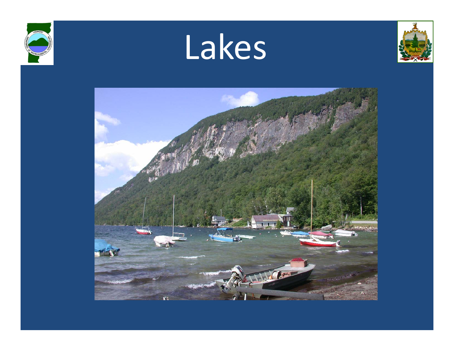





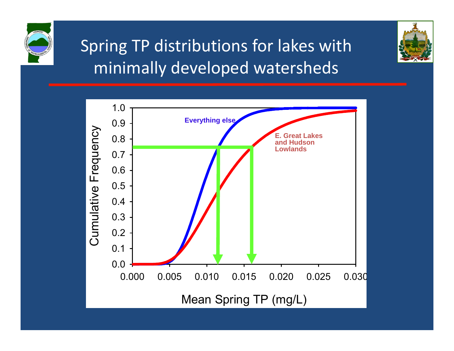

#### Spring TP distributions for lakes with minimally developed watersheds



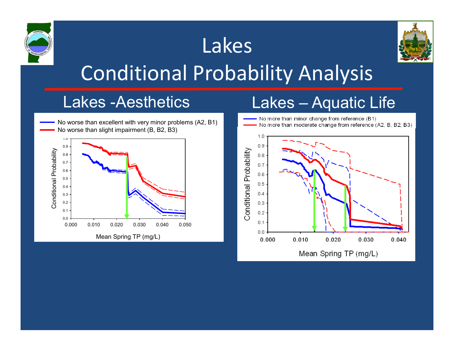

Mean Spring TP (mg/L)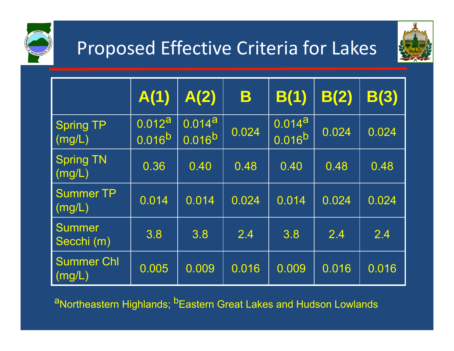

## Proposed Effective Criteria for Lakes



|                             | A(1)                  | A(2)                         | B     | B(1)                       | B(2)  | B(3)  |
|-----------------------------|-----------------------|------------------------------|-------|----------------------------|-------|-------|
| Spring TP<br>(mg/L)         | 0.012a<br>$0.016^{b}$ | 0.014a<br>0.016 <sup>b</sup> | 0.024 | $0.014^{a}$<br>$0.016^{b}$ | 0.024 | 0.024 |
| <b>Spring TN</b><br>(mg/L)  | 0.36                  | 0.40                         | 0.48  | 0.40                       | 0.48  | 0.48  |
| <b>Summer TP</b><br>(mg/L)  | 0.014                 | 0.014                        | 0.024 | 0.014                      | 0.024 | 0.024 |
| <b>Summer</b><br>Secchi (m) | 3.8                   | 3.8                          | 2.4   | 3.8                        | 2.4   | 2.4   |
| <b>Summer Chl</b><br>(mg/L) | 0.005                 | 0.009                        | 0.016 | 0.009                      | 0.016 | 0.016 |

aNortheastern Highlands; **bEastern Great Lakes and Hudson Lowlands**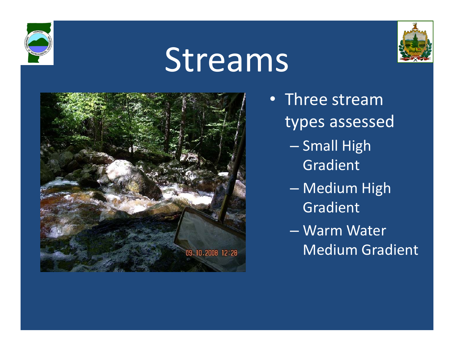



# Streams



- Three stream types assessed
	- Small Hi g h Gradient
	- Medium High Gradient
	- Warm Water Medium Gradient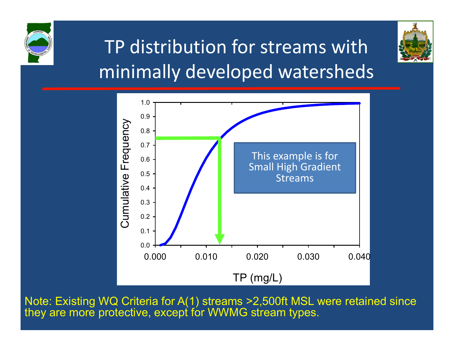

## TP distribution for streams with minimally developed watersheds



Note: Existing WQ Criteria for A(1) streams >2,500ft MSL were retained since they are more protective, except for WWMG stream types.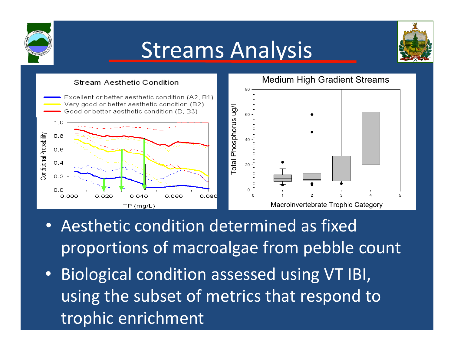

# Streams Analysis





- Aesthetic condition determined as fixed proportions of macroalgae from pebble count
- • Biological condition assessed using VT IBI, using the subset of metrics that respond to trophic enrichment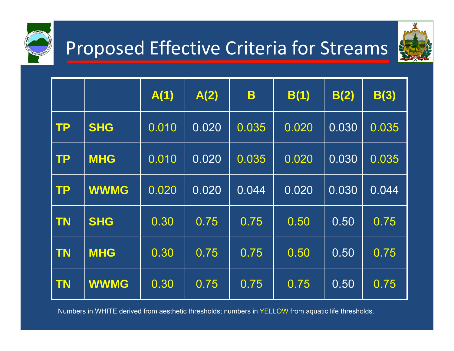

### Proposed Effective Criteria for Streams



|           |             | A(1)  | A(2)  | B     | B(1)  | B(2)  | B(3)  |
|-----------|-------------|-------|-------|-------|-------|-------|-------|
| <b>TP</b> | <b>SHG</b>  | 0.010 | 0.020 | 0.035 | 0.020 | 0.030 | 0.035 |
| <b>TP</b> | <b>MHG</b>  | 0.010 | 0.020 | 0.035 | 0.020 | 0.030 | 0.035 |
| <b>TP</b> | <b>WWMG</b> | 0.020 | 0.020 | 0.044 | 0.020 | 0.030 | 0.044 |
| <b>TN</b> | <b>SHG</b>  | 0.30  | 0.75  | 0.75  | 0.50  | 0.50  | 0.75  |
| <b>TN</b> | <b>MHG</b>  | 0.30  | 0.75  | 0.75  | 0.50  | 0.50  | 0.75  |
| <b>TN</b> | <b>WWMG</b> | 0.30  | 0.75  | 0.75  | 0.75  | 0.50  | 0.75  |

Numbers in WHITE derived from aesthetic thresholds; numbers in YELLOW from aquatic life thresholds.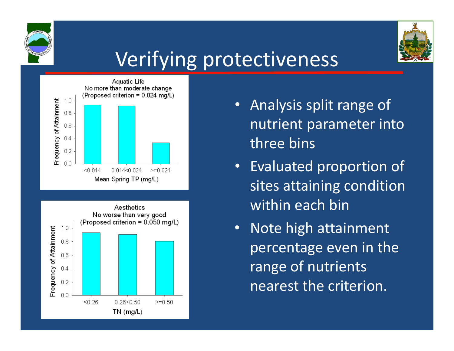



# Verifying protectiveness





- Analysis split range of nutrient parameter into three bins
- Evaluated proportion of sites attaining condition within each bin
- Note high attainment percentage even in the range of nutrients nearest the criterion.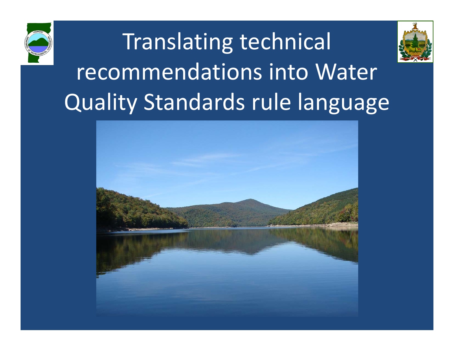



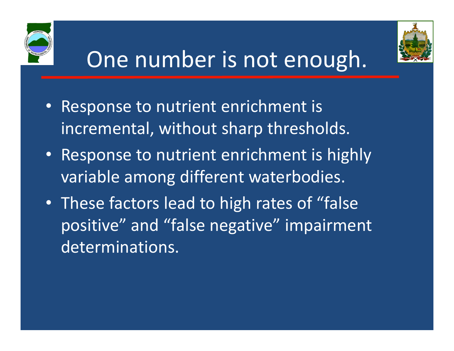



# One number is not enough.

- • Response to nutrient enrichment is incremental, without sharp thresholds.
- Response to nutrient enrichment is highly variable among different waterbodies.
- These factors lead to high rates of "false positive" and "false negative" impairment determinations.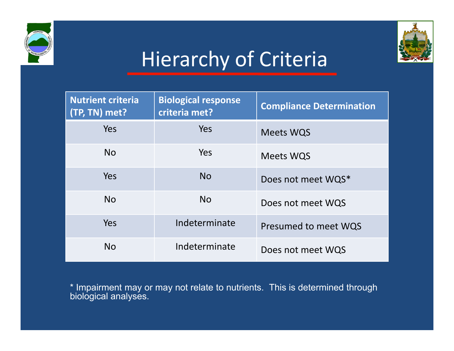



## Hierarchy of Criteria

| <b>Nutrient criteria</b><br>(TP, TN) met? | <b>Biological response</b><br>criteria met? | <b>Compliance Determination</b> |
|-------------------------------------------|---------------------------------------------|---------------------------------|
| Yes                                       | Yes                                         | <b>Meets WQS</b>                |
| <b>No</b>                                 | Yes                                         | <b>Meets WQS</b>                |
| Yes                                       | <b>No</b>                                   | Does not meet WQS*              |
| <b>No</b>                                 | <b>No</b>                                   | Does not meet WQS               |
| Yes                                       | Indeterminate                               | Presumed to meet WQS            |
| <b>No</b>                                 | Indeterminate                               | Does not meet WQS               |

\* Impairment may or may not relate to nutrients. This is determined through biological analyses.